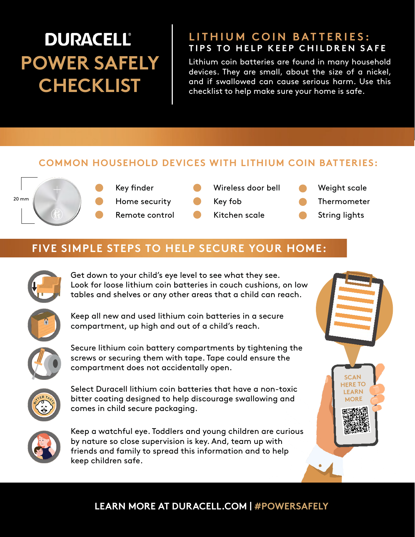## **DURACELL® POWER SAFELY CHECKLIST**

#### **LITHIUM COIN BATTERIES: TIPS TO HELP KEEP CHILDREN SAFE**

Lithium coin batteries are found in many household devices. They are small, about the size of a nickel, and if swallowed can cause serious harm. Use this checklist to help make sure your home is safe.

#### **COMMON HOUSEHOLD DEVICES WITH LITHIUM COIN BATTERIES:**



Key finder Home security Remote control

| Wireless door bell |  |
|--------------------|--|
| Key fob            |  |

Kitchen scale

Weight scale

Thermometer

String lights

**SCAN HERE TO LEARN MORE**

### **FIVE SIMPLE STEPS TO HELP SECURE YOUR HOME:**



Get down to your child's eye level to see what they see. Look for loose lithium coin batteries in couch cushions, on low tables and shelves or any other areas that a child can reach.



Keep all new and used lithium coin batteries in a secure compartment, up high and out of a child's reach.



Secure lithium coin battery compartments by tightening the screws or securing them with tape. Tape could ensure the compartment does not accidentally open.



Select Duracell lithium coin batteries that have a non-toxic bitter coating designed to help discourage swallowing and comes in child secure packaging.



Keep a watchful eye. Toddlers and young children are curious by nature so close supervision is key. And, team up with friends and family to spread this information and to help keep children safe.

#### **LEARN MORE AT DURACELL.COM | #POWERSAFELY**